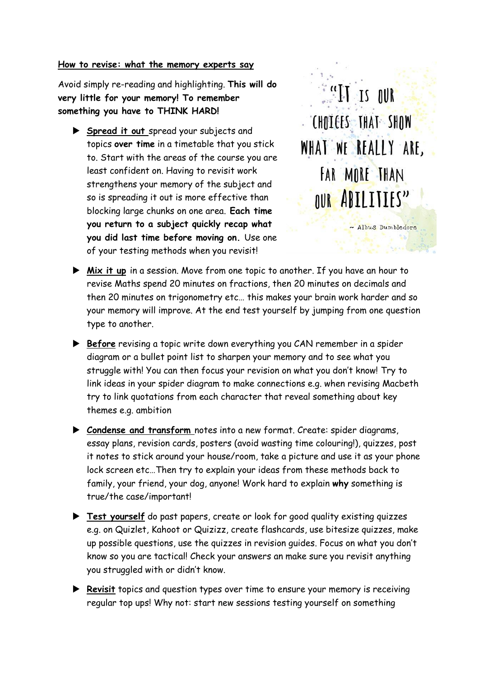## **How to revise: what the memory experts say**

Avoid simply re-reading and highlighting. **This will do very little for your memory! To remember something you have to THINK HARD!**

 **Spread it out** spread your subjects and topics **over time** in a timetable that you stick to. Start with the areas of the course you are least confident on. Having to revisit work strengthens your memory of the subject and so is spreading it out is more effective than blocking large chunks on one area. **Each time you return to a subject quickly recap what you did last time before moving on.** Use one of your testing methods when you revisit!

**IS OUR** CHOICES THAT SHOW WHAT WE REALLY ARE. FAR MORE THAN **OUR ABILITIES"** 

~ Albus Dumbledore

- **Mix it up** in a session. Move from one topic to another. If you have an hour to revise Maths spend 20 minutes on fractions, then 20 minutes on decimals and then 20 minutes on trigonometry etc… this makes your brain work harder and so your memory will improve. At the end test yourself by jumping from one question type to another.
- **Before** revising a topic write down everything you CAN remember in a spider diagram or a bullet point list to sharpen your memory and to see what you struggle with! You can then focus your revision on what you don't know! Try to link ideas in your spider diagram to make connections e.g. when revising Macbeth try to link quotations from each character that reveal something about key themes e.g. ambition
- **Condense and transform** notes into a new format. Create: spider diagrams, essay plans, revision cards, posters (avoid wasting time colouring!), quizzes, post it notes to stick around your house/room, take a picture and use it as your phone lock screen etc…Then try to explain your ideas from these methods back to family, your friend, your dog, anyone! Work hard to explain **why** something is true/the case/important!
- **Test yourself** do past papers, create or look for good quality existing quizzes e.g. on Quizlet, Kahoot or Quizizz, create flashcards, use bitesize quizzes, make up possible questions, use the quizzes in revision guides. Focus on what you don't know so you are tactical! Check your answers an make sure you revisit anything you struggled with or didn't know.
- **Revisit** topics and question types over time to ensure your memory is receiving regular top ups! Why not: start new sessions testing yourself on something